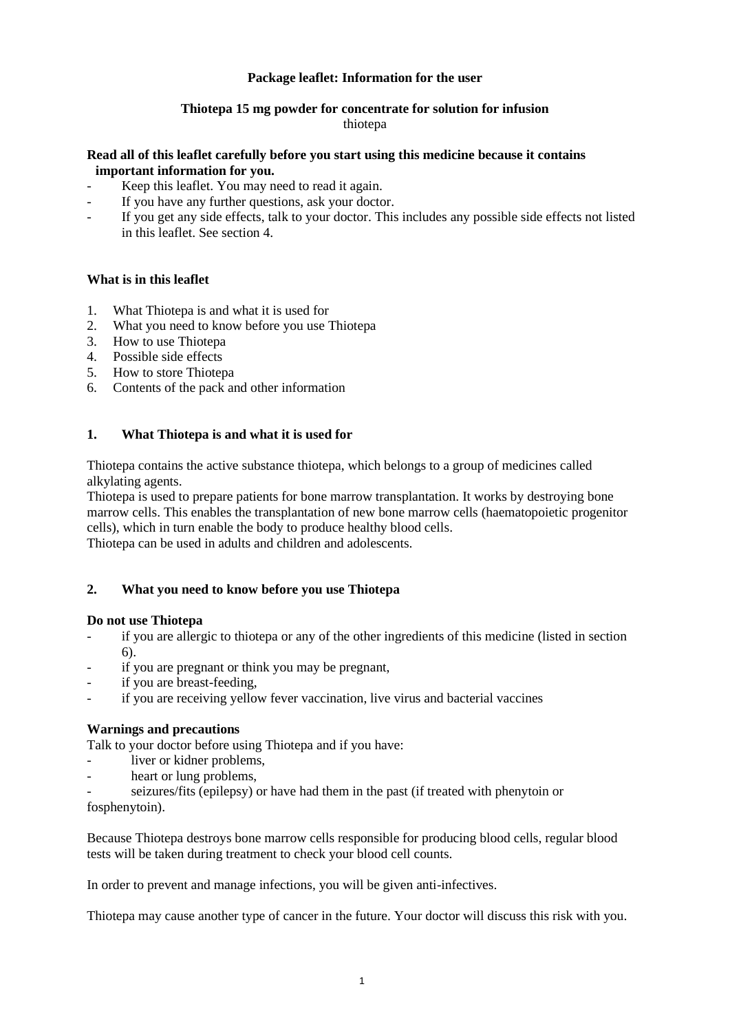# **Package leaflet: Information for the user**

# **Thiotepa 15 mg powder for concentrate for solution for infusion**

## thiotepa

## **Read all of this leaflet carefully before you start using this medicine because it contains important information for you.**

- Keep this leaflet. You may need to read it again.
- If you have any further questions, ask your doctor.
- If you get any side effects, talk to your doctor. This includes any possible side effects not listed in this leaflet. See section 4.

# **What is in this leaflet**

- 1. What Thiotepa is and what it is used for
- 2. What you need to know before you use Thiotepa
- 3. How to use Thiotepa
- 4. Possible side effects
- 5. How to store Thiotepa
- 6. Contents of the pack and other information

# **1. What Thiotepa is and what it is used for**

Thiotepa contains the active substance thiotepa, which belongs to a group of medicines called alkylating agents.

Thiotepa is used to prepare patients for bone marrow transplantation. It works by destroying bone marrow cells. This enables the transplantation of new bone marrow cells (haematopoietic progenitor cells), which in turn enable the body to produce healthy blood cells.

Thiotepa can be used in adults and children and adolescents.

# **2. What you need to know before you use Thiotepa**

## **Do not use Thiotepa**

- if you are allergic to thiotepa or any of the other ingredients of this medicine (listed in section 6).
- if you are pregnant or think you may be pregnant,
- if you are breast-feeding,
- if you are receiving yellow fever vaccination, live virus and bacterial vaccines

# **Warnings and precautions**

Talk to your doctor before using Thiotepa and if you have:

- liver or kidner problems,
- heart or lung problems,
- seizures/fits (epilepsy) or have had them in the past (if treated with phenytoin or

fosphenytoin).

Because Thiotepa destroys bone marrow cells responsible for producing blood cells, regular blood tests will be taken during treatment to check your blood cell counts.

In order to prevent and manage infections, you will be given anti-infectives.

Thiotepa may cause another type of cancer in the future. Your doctor will discuss this risk with you.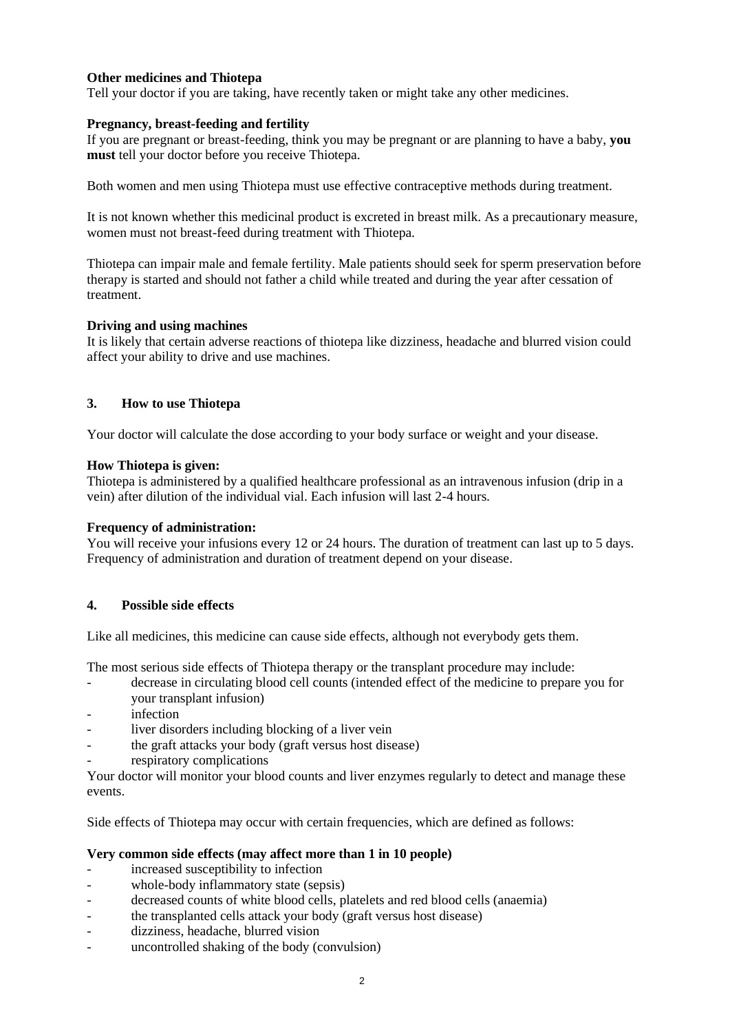# **Other medicines and Thiotepa**

Tell your doctor if you are taking, have recently taken or might take any other medicines.

## **Pregnancy, breast-feeding and fertility**

If you are pregnant or breast-feeding, think you may be pregnant or are planning to have a baby, **you must** tell your doctor before you receive Thiotepa.

Both women and men using Thiotepa must use effective contraceptive methods during treatment.

It is not known whether this medicinal product is excreted in breast milk. As a precautionary measure, women must not breast-feed during treatment with Thiotepa.

Thiotepa can impair male and female fertility. Male patients should seek for sperm preservation before therapy is started and should not father a child while treated and during the year after cessation of treatment.

## **Driving and using machines**

It is likely that certain adverse reactions of thiotepa like dizziness, headache and blurred vision could affect your ability to drive and use machines.

# **3. How to use Thiotepa**

Your doctor will calculate the dose according to your body surface or weight and your disease.

## **How Thiotepa is given:**

Thiotepa is administered by a qualified healthcare professional as an intravenous infusion (drip in a vein) after dilution of the individual vial. Each infusion will last 2-4 hours.

## **Frequency of administration:**

You will receive your infusions every 12 or 24 hours. The duration of treatment can last up to 5 days. Frequency of administration and duration of treatment depend on your disease.

# **4. Possible side effects**

Like all medicines, this medicine can cause side effects, although not everybody gets them.

The most serious side effects of Thiotepa therapy or the transplant procedure may include:

- decrease in circulating blood cell counts (intended effect of the medicine to prepare you for your transplant infusion)
- infection
- liver disorders including blocking of a liver vein
- the graft attacks your body (graft versus host disease)
- respiratory complications

Your doctor will monitor your blood counts and liver enzymes regularly to detect and manage these events.

Side effects of Thiotepa may occur with certain frequencies, which are defined as follows:

## **Very common side effects (may affect more than 1 in 10 people)**

- increased susceptibility to infection
- whole-body inflammatory state (sepsis)
- decreased counts of white blood cells, platelets and red blood cells (anaemia)
- the transplanted cells attack your body (graft versus host disease)
- dizziness, headache, blurred vision
- uncontrolled shaking of the body (convulsion)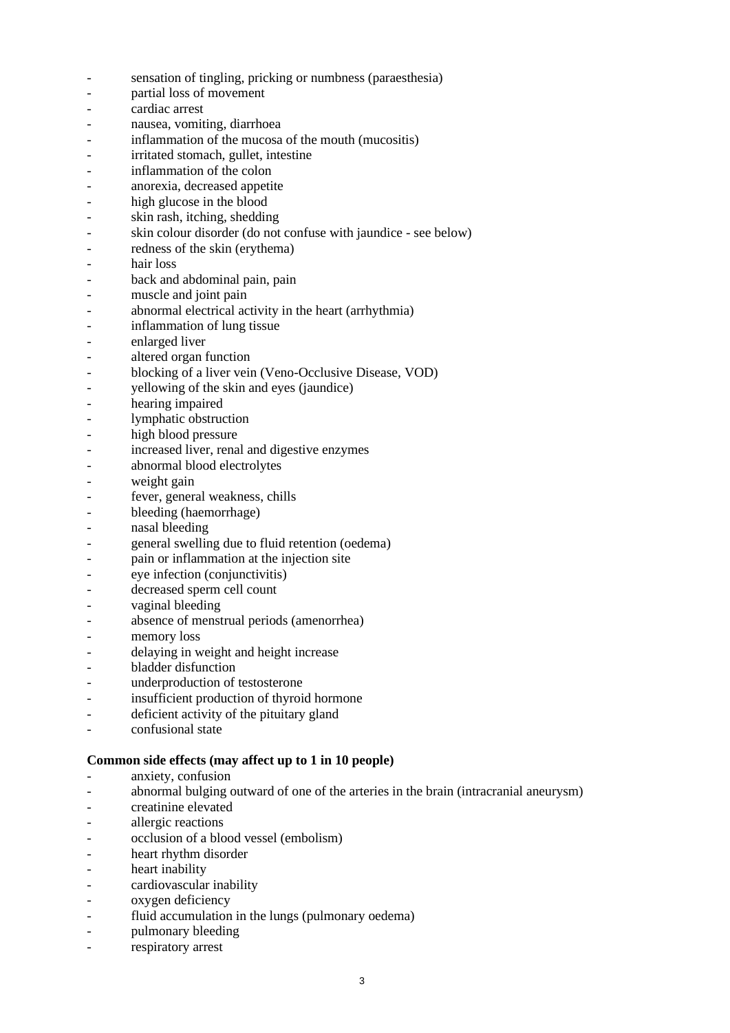- sensation of tingling, pricking or numbness (paraesthesia)
- partial loss of movement
- cardiac arrest
- nausea, vomiting, diarrhoea
- inflammation of the mucosa of the mouth (mucositis)
- irritated stomach, gullet, intestine
- inflammation of the colon
- anorexia, decreased appetite
- high glucose in the blood
- skin rash, itching, shedding
- skin colour disorder (do not confuse with jaundice see below)
- redness of the skin (erythema)
- hair loss
- back and abdominal pain, pain
- muscle and joint pain
- abnormal electrical activity in the heart (arrhythmia)
- inflammation of lung tissue
- enlarged liver
- altered organ function
- blocking of a liver vein (Veno-Occlusive Disease, VOD)
- yellowing of the skin and eyes (jaundice)
- hearing impaired
- lymphatic obstruction
- high blood pressure
- increased liver, renal and digestive enzymes
- abnormal blood electrolytes
- weight gain
- fever, general weakness, chills
- bleeding (haemorrhage)
- nasal bleeding
- general swelling due to fluid retention (oedema)
- pain or inflammation at the injection site
- eye infection (conjunctivitis)
- decreased sperm cell count
- vaginal bleeding
- absence of menstrual periods (amenorrhea)
- memory loss
- delaying in weight and height increase
- bladder disfunction
- underproduction of testosterone
- insufficient production of thyroid hormone
- deficient activity of the pituitary gland
- confusional state

#### **Common side effects (may affect up to 1 in 10 people)**

- anxiety, confusion
- abnormal bulging outward of one of the arteries in the brain (intracranial aneurysm)
- creatinine elevated
- allergic reactions
- occlusion of a blood vessel (embolism)
- heart rhythm disorder
- heart inability
- cardiovascular inability
- oxygen deficiency
- fluid accumulation in the lungs (pulmonary oedema)
- pulmonary bleeding
- respiratory arrest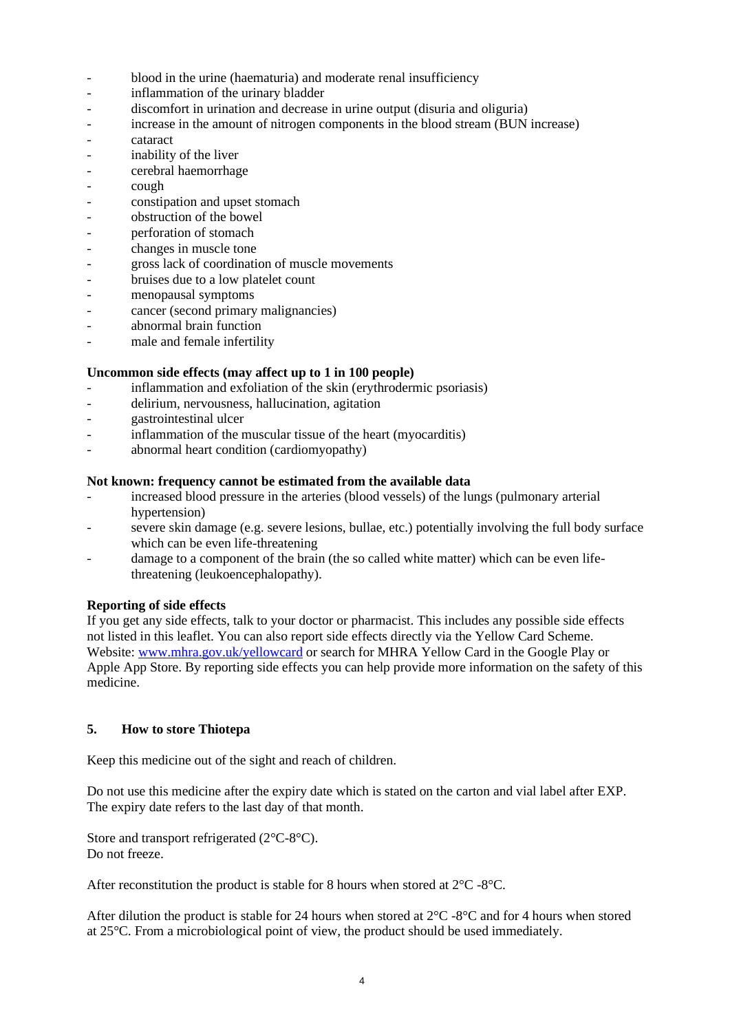- blood in the urine (haematuria) and moderate renal insufficiency
- inflammation of the urinary bladder
- discomfort in urination and decrease in urine output (disuria and oliguria)
- increase in the amount of nitrogen components in the blood stream (BUN increase)
- cataract
- inability of the liver
- cerebral haemorrhage
- cough
- constipation and upset stomach
- obstruction of the bowel
- perforation of stomach
- changes in muscle tone
- gross lack of coordination of muscle movements
- bruises due to a low platelet count
- menopausal symptoms
- cancer (second primary malignancies)
- abnormal brain function
- male and female infertility

# **Uncommon side effects (may affect up to 1 in 100 people)**

- inflammation and exfoliation of the skin (erythrodermic psoriasis)
- delirium, nervousness, hallucination, agitation
- gastrointestinal ulcer
- inflammation of the muscular tissue of the heart (myocarditis)
- abnormal heart condition (cardiomyopathy)

# **Not known: frequency cannot be estimated from the available data**

- increased blood pressure in the arteries (blood vessels) of the lungs (pulmonary arterial hypertension)
- severe skin damage (e.g. severe lesions, bullae, etc.) potentially involving the full body surface which can be even life-threatening
- damage to a component of the brain (the so called white matter) which can be even lifethreatening (leukoencephalopathy).

## **Reporting of side effects**

If you get any side effects, talk to your doctor or pharmacist. This includes any possible side effects not listed in this leaflet. You can also report side effects directly via the Yellow Card Scheme. Website[: www.mhra.gov.uk/yellowcard](http://www.mhra.gov.uk/yellowcard) or search for MHRA Yellow Card in the Google Play or Apple App Store. By reporting side effects you can help provide more information on the safety of this medicine.

## **5. How to store Thiotepa**

Keep this medicine out of the sight and reach of children.

Do not use this medicine after the expiry date which is stated on the carton and vial label after EXP. The expiry date refers to the last day of that month.

Store and transport refrigerated (2°C-8°C). Do not freeze.

After reconstitution the product is stable for 8 hours when stored at 2°C -8°C.

After dilution the product is stable for 24 hours when stored at  $2^{\circ}C$  -8°C and for 4 hours when stored at 25°C. From a microbiological point of view, the product should be used immediately.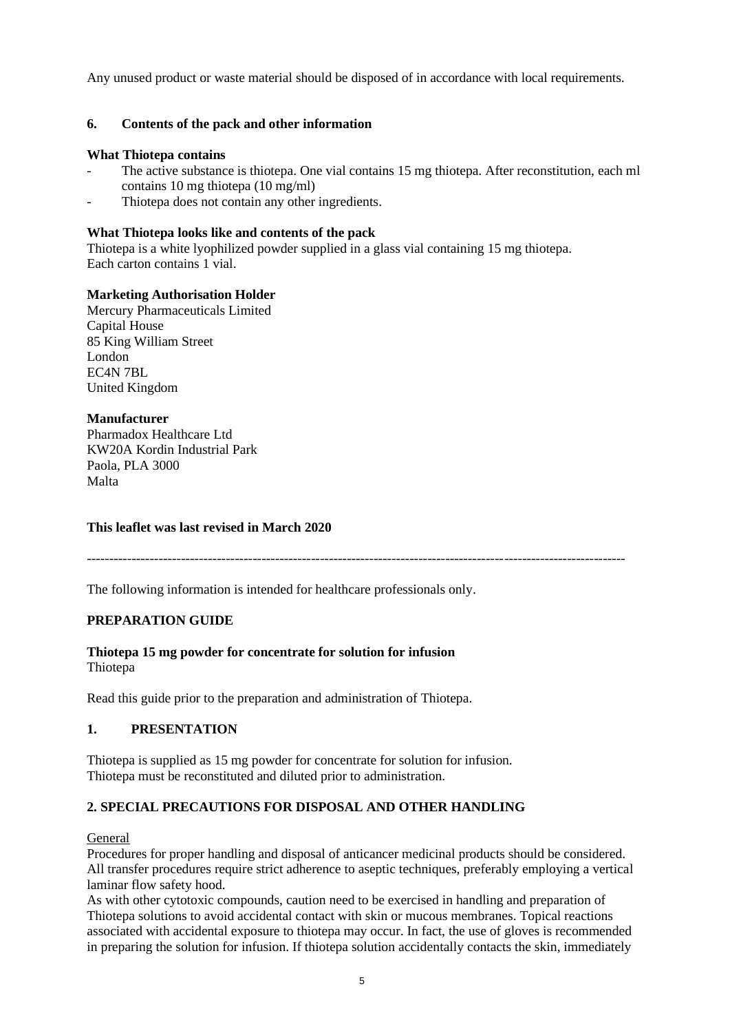Any unused product or waste material should be disposed of in accordance with local requirements.

# **6. Contents of the pack and other information**

## **What Thiotepa contains**

- The active substance is thiotepa. One vial contains 15 mg thiotepa. After reconstitution, each ml contains 10 mg thiotepa (10 mg/ml)
- Thiotepa does not contain any other ingredients.

# **What Thiotepa looks like and contents of the pack**

Thiotepa is a white lyophilized powder supplied in a glass vial containing 15 mg thiotepa. Each carton contains 1 vial.

# **Marketing Authorisation Holder**

Mercury Pharmaceuticals Limited Capital House 85 King William Street London EC4N 7BL United Kingdom

# **Manufacturer**

Pharmadox Healthcare Ltd KW20A Kordin Industrial Park Paola, PLA 3000 Malta

## **This leaflet was last revised in March 2020**

------------------------------------------------------------------------------------------------------------------------

The following information is intended for healthcare professionals only.

# **PREPARATION GUIDE**

# **Thiotepa 15 mg powder for concentrate for solution for infusion**

Thiotepa

Read this guide prior to the preparation and administration of Thiotepa.

# **1. PRESENTATION**

Thiotepa is supplied as 15 mg powder for concentrate for solution for infusion. Thiotepa must be reconstituted and diluted prior to administration.

# **2. SPECIAL PRECAUTIONS FOR DISPOSAL AND OTHER HANDLING**

## **General**

Procedures for proper handling and disposal of anticancer medicinal products should be considered. All transfer procedures require strict adherence to aseptic techniques, preferably employing a vertical laminar flow safety hood.

As with other cytotoxic compounds, caution need to be exercised in handling and preparation of Thiotepa solutions to avoid accidental contact with skin or mucous membranes. Topical reactions associated with accidental exposure to thiotepa may occur. In fact, the use of gloves is recommended in preparing the solution for infusion. If thiotepa solution accidentally contacts the skin, immediately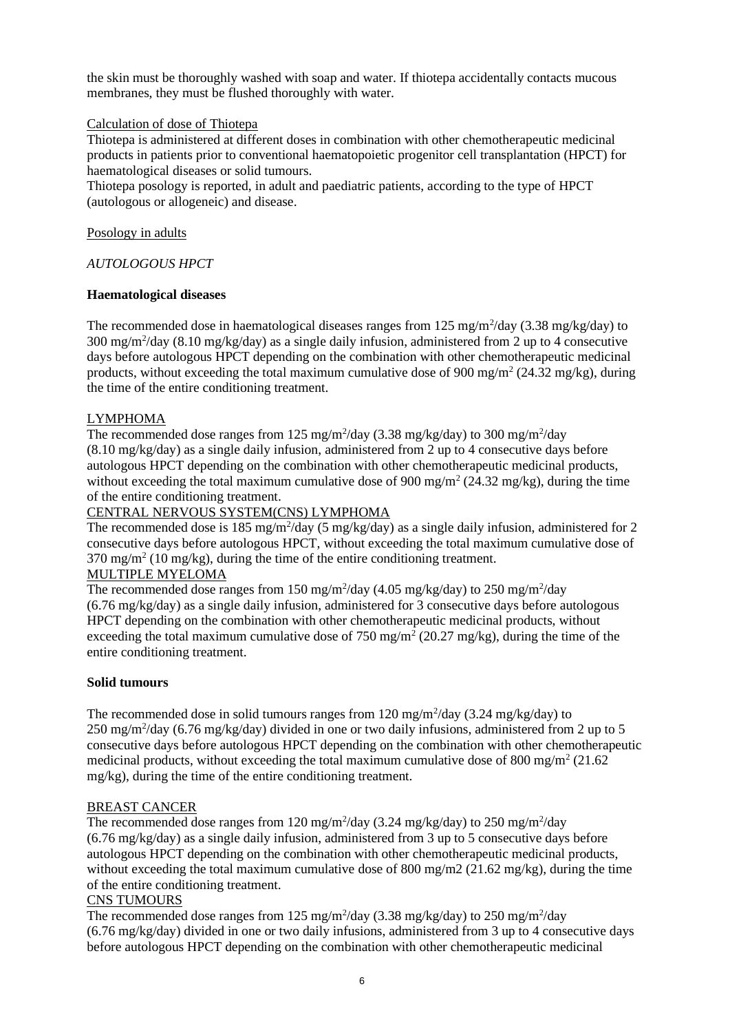the skin must be thoroughly washed with soap and water. If thiotepa accidentally contacts mucous membranes, they must be flushed thoroughly with water.

# Calculation of dose of Thiotepa

Thiotepa is administered at different doses in combination with other chemotherapeutic medicinal products in patients prior to conventional haematopoietic progenitor cell transplantation (HPCT) for haematological diseases or solid tumours.

Thiotepa posology is reported, in adult and paediatric patients, according to the type of HPCT (autologous or allogeneic) and disease.

## Posology in adults

# *AUTOLOGOUS HPCT*

# **Haematological diseases**

The recommended dose in haematological diseases ranges from  $125 \text{ mg/m}^2/\text{day}$  (3.38 mg/kg/day) to 300 mg/m<sup>2</sup>/day (8.10 mg/kg/day) as a single daily infusion, administered from 2 up to 4 consecutive days before autologous HPCT depending on the combination with other chemotherapeutic medicinal products, without exceeding the total maximum cumulative dose of 900 mg/m<sup>2</sup> (24.32 mg/kg), during the time of the entire conditioning treatment.

# LYMPHOMA

The recommended dose ranges from  $125 \text{ mg/m}^2/\text{day}$  (3.38 mg/kg/day) to 300 mg/m<sup>2</sup>/day (8.10 mg/kg/day) as a single daily infusion, administered from 2 up to 4 consecutive days before autologous HPCT depending on the combination with other chemotherapeutic medicinal products, without exceeding the total maximum cumulative dose of 900 mg/m<sup>2</sup> (24.32 mg/kg), during the time of the entire conditioning treatment.

## CENTRAL NERVOUS SYSTEM(CNS) LYMPHOMA

The recommended dose is 185 mg/m<sup>2</sup>/day (5 mg/kg/day) as a single daily infusion, administered for 2 consecutive days before autologous HPCT, without exceeding the total maximum cumulative dose of 370 mg/m<sup>2</sup> (10 mg/kg), during the time of the entire conditioning treatment.

# MULTIPLE MYELOMA

The recommended dose ranges from  $150 \text{ mg/m}^2/\text{day}$  (4.05 mg/kg/day) to  $250 \text{ mg/m}^2/\text{day}$ (6.76 mg/kg/day) as a single daily infusion, administered for 3 consecutive days before autologous HPCT depending on the combination with other chemotherapeutic medicinal products, without exceeding the total maximum cumulative dose of  $750 \text{ mg/m}^2$  (20.27 mg/kg), during the time of the entire conditioning treatment.

## **Solid tumours**

The recommended dose in solid tumours ranges from  $120 \text{ mg/m}^2/\text{day}$  (3.24 mg/kg/day) to 250 mg/m<sup>2</sup>/day (6.76 mg/kg/day) divided in one or two daily infusions, administered from 2 up to 5 consecutive days before autologous HPCT depending on the combination with other chemotherapeutic medicinal products, without exceeding the total maximum cumulative dose of 800 mg/m<sup>2</sup> (21.62) mg/kg), during the time of the entire conditioning treatment.

## BREAST CANCER

The recommended dose ranges from  $120 \text{ mg/m}^2/\text{day}$  (3.24 mg/kg/day) to  $250 \text{ mg/m}^2/\text{day}$ (6.76 mg/kg/day) as a single daily infusion, administered from 3 up to 5 consecutive days before autologous HPCT depending on the combination with other chemotherapeutic medicinal products, without exceeding the total maximum cumulative dose of 800 mg/m2 (21.62 mg/kg), during the time of the entire conditioning treatment.

## CNS TUMOURS

The recommended dose ranges from 125 mg/m<sup>2</sup>/day (3.38 mg/kg/day) to 250 mg/m<sup>2</sup>/day (6.76 mg/kg/day) divided in one or two daily infusions, administered from 3 up to 4 consecutive days before autologous HPCT depending on the combination with other chemotherapeutic medicinal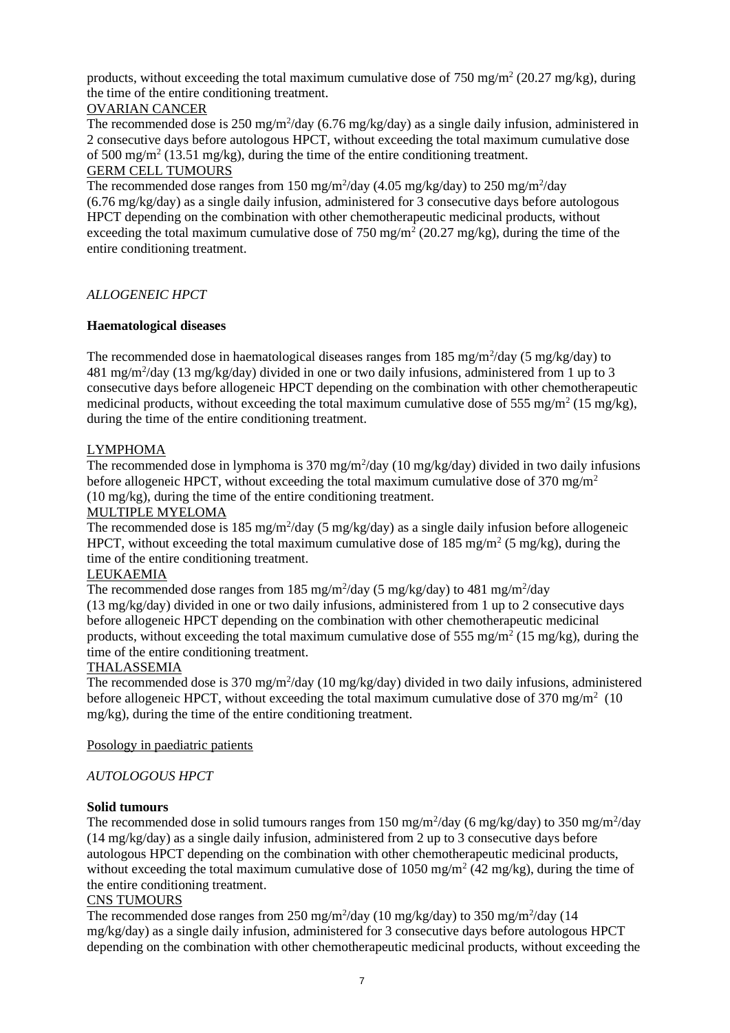products, without exceeding the total maximum cumulative dose of  $750 \text{ mg/m}^2$  (20.27 mg/kg), during the time of the entire conditioning treatment.

# OVARIAN CANCER

The recommended dose is  $250 \text{ mg/m}^2/\text{day}$  (6.76 mg/kg/day) as a single daily infusion, administered in 2 consecutive days before autologous HPCT, without exceeding the total maximum cumulative dose of 500 mg/m<sup>2</sup> (13.51 mg/kg), during the time of the entire conditioning treatment. GERM CELL TUMOURS

The recommended dose ranges from  $150 \text{ mg/m}^2/\text{day}$  (4.05 mg/kg/day) to  $250 \text{ mg/m}^2/\text{day}$ (6.76 mg/kg/day) as a single daily infusion, administered for 3 consecutive days before autologous HPCT depending on the combination with other chemotherapeutic medicinal products, without exceeding the total maximum cumulative dose of 750 mg/m<sup>2</sup> (20.27 mg/kg), during the time of the entire conditioning treatment.

# *ALLOGENEIC HPCT*

# **Haematological diseases**

The recommended dose in haematological diseases ranges from 185 mg/m<sup>2</sup>/day (5 mg/kg/day) to 481 mg/m<sup>2</sup>/day (13 mg/kg/day) divided in one or two daily infusions, administered from 1 up to 3 consecutive days before allogeneic HPCT depending on the combination with other chemotherapeutic medicinal products, without exceeding the total maximum cumulative dose of 555 mg/m<sup>2</sup> (15 mg/kg), during the time of the entire conditioning treatment.

# LYMPHOMA

The recommended dose in lymphoma is  $370 \text{ mg/m}^2/\text{day}$  (10 mg/kg/day) divided in two daily infusions before allogeneic HPCT, without exceeding the total maximum cumulative dose of  $370 \text{ mg/m}^2$ (10 mg/kg), during the time of the entire conditioning treatment.

## MULTIPLE MYELOMA

The recommended dose is  $185 \text{ mg/m}^2/\text{day}$  (5 mg/kg/day) as a single daily infusion before allogeneic HPCT, without exceeding the total maximum cumulative dose of  $185 \text{ mg/m}^2$  (5 mg/kg), during the time of the entire conditioning treatment.

## LEUKAEMIA

The recommended dose ranges from 185 mg/m<sup>2</sup>/day (5 mg/kg/day) to 481 mg/m<sup>2</sup>/day (13 mg/kg/day) divided in one or two daily infusions, administered from 1 up to 2 consecutive days before allogeneic HPCT depending on the combination with other chemotherapeutic medicinal products, without exceeding the total maximum cumulative dose of 555 mg/m<sup>2</sup> (15 mg/kg), during the time of the entire conditioning treatment.

## THALASSEMIA

The recommended dose is 370 mg/m<sup>2</sup>/day (10 mg/kg/day) divided in two daily infusions, administered before allogeneic HPCT, without exceeding the total maximum cumulative dose of  $370 \text{ mg/m}^2$  (10 mg/kg), during the time of the entire conditioning treatment.

## Posology in paediatric patients

## *AUTOLOGOUS HPCT*

## **Solid tumours**

The recommended dose in solid tumours ranges from 150 mg/m<sup>2</sup>/day (6 mg/kg/day) to 350 mg/m<sup>2</sup>/day (14 mg/kg/day) as a single daily infusion, administered from 2 up to 3 consecutive days before autologous HPCT depending on the combination with other chemotherapeutic medicinal products, without exceeding the total maximum cumulative dose of  $1050$  mg/m<sup>2</sup> (42 mg/kg), during the time of the entire conditioning treatment.

## CNS TUMOURS

The recommended dose ranges from 250 mg/m<sup>2</sup>/day (10 mg/kg/day) to 350 mg/m<sup>2</sup>/day (14 mg/kg/day) as a single daily infusion, administered for 3 consecutive days before autologous HPCT depending on the combination with other chemotherapeutic medicinal products, without exceeding the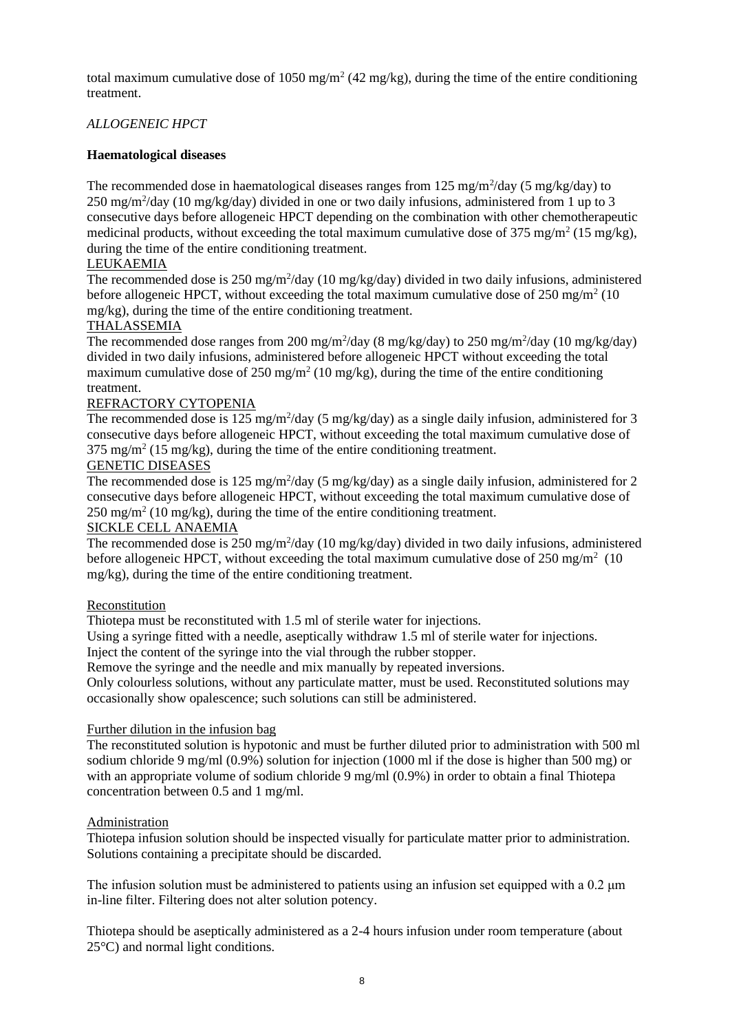total maximum cumulative dose of 1050 mg/m<sup>2</sup> (42 mg/kg), during the time of the entire conditioning treatment.

# *ALLOGENEIC HPCT*

# **Haematological diseases**

The recommended dose in haematological diseases ranges from 125 mg/m<sup>2</sup>/day (5 mg/kg/day) to  $250 \text{ mg/m}^2/\text{day}$  (10 mg/kg/day) divided in one or two daily infusions, administered from 1 up to 3 consecutive days before allogeneic HPCT depending on the combination with other chemotherapeutic medicinal products, without exceeding the total maximum cumulative dose of 375 mg/m<sup>2</sup> (15 mg/kg), during the time of the entire conditioning treatment.

# LEUKAEMIA

The recommended dose is 250 mg/m<sup>2</sup>/day (10 mg/kg/day) divided in two daily infusions, administered before allogeneic HPCT, without exceeding the total maximum cumulative dose of 250 mg/m<sup>2</sup> (10) mg/kg), during the time of the entire conditioning treatment.

# THALASSEMIA

The recommended dose ranges from 200 mg/m<sup>2</sup>/day (8 mg/kg/day) to 250 mg/m<sup>2</sup>/day (10 mg/kg/day) divided in two daily infusions, administered before allogeneic HPCT without exceeding the total maximum cumulative dose of 250 mg/m<sup>2</sup> (10 mg/kg), during the time of the entire conditioning treatment.

# REFRACTORY CYTOPENIA

The recommended dose is  $125 \text{ mg/m}^2$ /day (5 mg/kg/day) as a single daily infusion, administered for 3 consecutive days before allogeneic HPCT, without exceeding the total maximum cumulative dose of 375 mg/m<sup>2</sup> (15 mg/kg), during the time of the entire conditioning treatment.

# GENETIC DISEASES

The recommended dose is  $125 \text{ mg/m}^2$ /day (5 mg/kg/day) as a single daily infusion, administered for 2 consecutive days before allogeneic HPCT, without exceeding the total maximum cumulative dose of  $250 \text{ mg/m}^2$  (10 mg/kg), during the time of the entire conditioning treatment.

# SICKLE CELL ANAEMIA

The recommended dose is  $250 \text{ mg/m}^2/\text{day}$  (10 mg/kg/day) divided in two daily infusions, administered before allogeneic HPCT, without exceeding the total maximum cumulative dose of  $250 \text{ mg/m}^2$  (10 mg/kg), during the time of the entire conditioning treatment.

## **Reconstitution**

Thiotepa must be reconstituted with 1.5 ml of sterile water for injections.

Using a syringe fitted with a needle, aseptically withdraw 1.5 ml of sterile water for injections.

Inject the content of the syringe into the vial through the rubber stopper.

Remove the syringe and the needle and mix manually by repeated inversions.

Only colourless solutions, without any particulate matter, must be used. Reconstituted solutions may occasionally show opalescence; such solutions can still be administered.

## Further dilution in the infusion bag

The reconstituted solution is hypotonic and must be further diluted prior to administration with 500 ml sodium chloride 9 mg/ml (0.9%) solution for injection (1000 ml if the dose is higher than 500 mg) or with an appropriate volume of sodium chloride 9 mg/ml (0.9%) in order to obtain a final Thiotepa concentration between 0.5 and 1 mg/ml.

## Administration

Thiotepa infusion solution should be inspected visually for particulate matter prior to administration. Solutions containing a precipitate should be discarded.

The infusion solution must be administered to patients using an infusion set equipped with a 0.2  $\mu$ m in-line filter. Filtering does not alter solution potency.

Thiotepa should be aseptically administered as a 2-4 hours infusion under room temperature (about 25°C) and normal light conditions.